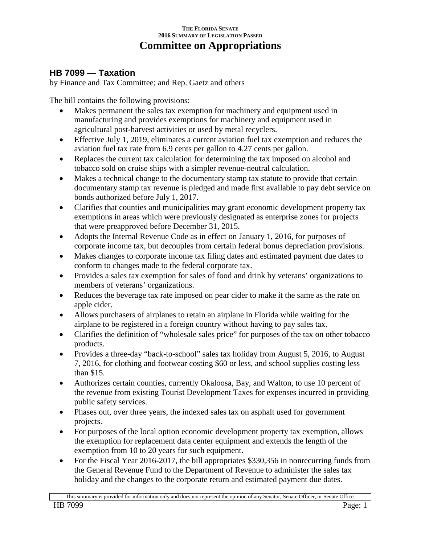## **THE FLORIDA SENATE 2016 SUMMARY OF LEGISLATION PASSED Committee on Appropriations**

## **HB 7099 — Taxation**

by Finance and Tax Committee; and Rep. Gaetz and others

The bill contains the following provisions:

- Makes permanent the sales tax exemption for machinery and equipment used in manufacturing and provides exemptions for machinery and equipment used in agricultural post-harvest activities or used by metal recyclers.
- Effective July 1, 2019, eliminates a current aviation fuel tax exemption and reduces the aviation fuel tax rate from 6.9 cents per gallon to 4.27 cents per gallon.
- Replaces the current tax calculation for determining the tax imposed on alcohol and tobacco sold on cruise ships with a simpler revenue-neutral calculation.
- Makes a technical change to the documentary stamp tax statute to provide that certain documentary stamp tax revenue is pledged and made first available to pay debt service on bonds authorized before July 1, 2017.
- Clarifies that counties and municipalities may grant economic development property tax exemptions in areas which were previously designated as enterprise zones for projects that were preapproved before December 31, 2015.
- Adopts the Internal Revenue Code as in effect on January 1, 2016, for purposes of corporate income tax, but decouples from certain federal bonus depreciation provisions.
- Makes changes to corporate income tax filing dates and estimated payment due dates to conform to changes made to the federal corporate tax.
- Provides a sales tax exemption for sales of food and drink by veterans' organizations to members of veterans' organizations.
- Reduces the beverage tax rate imposed on pear cider to make it the same as the rate on apple cider.
- Allows purchasers of airplanes to retain an airplane in Florida while waiting for the airplane to be registered in a foreign country without having to pay sales tax.
- Clarifies the definition of "wholesale sales price" for purposes of the tax on other tobacco products.
- Provides a three-day "back-to-school" sales tax holiday from August 5, 2016, to August 7, 2016, for clothing and footwear costing \$60 or less, and school supplies costing less than \$15.
- Authorizes certain counties, currently Okaloosa, Bay, and Walton, to use 10 percent of the revenue from existing Tourist Development Taxes for expenses incurred in providing public safety services.
- Phases out, over three years, the indexed sales tax on asphalt used for government projects.
- For purposes of the local option economic development property tax exemption, allows the exemption for replacement data center equipment and extends the length of the exemption from 10 to 20 years for such equipment.
- For the Fiscal Year 2016-2017, the bill appropriates \$330,356 in nonrecurring funds from the General Revenue Fund to the Department of Revenue to administer the sales tax holiday and the changes to the corporate return and estimated payment due dates.